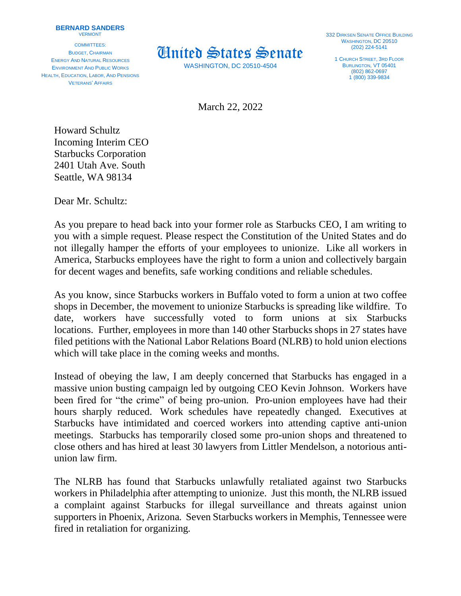## **BERNARD SANDERS** VERMONT

COMMITTEES: BUDGET, CHAIRMAN ENERGY AND NATURAL RESOURCES ENVIRONMENT AND PUBLIC WORKS HEALTH, EDUCATION, LABOR, AND PENSIONS VETERANS' AFFAIRS



WASHINGTON, DC 20510-4504

332 DIRKSEN SENATE OFFICE BUILDING WASHINGTON, DC 20510 (202) 224-5141

1 CHURCH STREET, 3RD FLOOR BURLINGTON, VT 05401 (802) 862-0697 1 (800) 339-9834

March 22, 2022

Howard Schultz Incoming Interim CEO Starbucks Corporation 2401 Utah Ave. South Seattle, WA 98134

Dear Mr. Schultz:

As you prepare to head back into your former role as Starbucks CEO, I am writing to you with a simple request. Please respect the Constitution of the United States and do not illegally hamper the efforts of your employees to unionize. Like all workers in America, Starbucks employees have the right to form a union and collectively bargain for decent wages and benefits, safe working conditions and reliable schedules.

As you know, since Starbucks workers in Buffalo voted to form a union at two coffee shops in December, the movement to unionize Starbucks is spreading like wildfire. To date, workers have successfully voted to form unions at six Starbucks locations. Further, employees in more than 140 other Starbucks shops in 27 states have filed petitions with the National Labor Relations Board (NLRB) to hold union elections which will take place in the coming weeks and months.

Instead of obeying the law, I am deeply concerned that Starbucks has engaged in a massive union busting campaign led by outgoing CEO Kevin Johnson. Workers have been fired for "the crime" of being pro-union. Pro-union employees have had their hours sharply reduced. Work schedules have repeatedly changed. Executives at Starbucks have intimidated and coerced workers into attending captive anti-union meetings. Starbucks has temporarily closed some pro-union shops and threatened to close others and has hired at least 30 lawyers from Littler Mendelson, a notorious antiunion law firm.

The NLRB has found that Starbucks unlawfully retaliated against two Starbucks workers in Philadelphia after attempting to unionize. Just this month, the NLRB issued a complaint against Starbucks for illegal surveillance and threats against union supporters in Phoenix, Arizona. Seven Starbucks workers in Memphis, Tennessee were fired in retaliation for organizing.